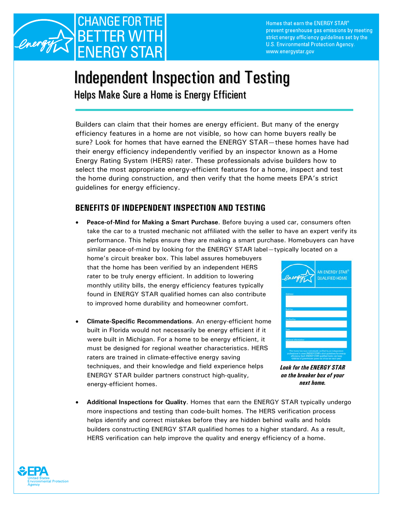

Homes that earn the ENERGY STAR® prevent greenhouse gas emissions by meeting strict energy efficiency guidelines set by the U.S. Environmental Protection Agency. www.energystar.gov

## Independent Inspection and Testing

Helps Make Sure a Home is Energy Efficient

Builders can claim that their homes are energy efficient. But many of the energy efficiency features in a home are not visible, so how can home buyers really be sure? Look for homes that have earned the ENERGY STAR—these homes have had their energy efficiency independently verified by an inspector known as a Home Energy Rating System (HERS) rater. These professionals advise builders how to select the most appropriate energy-efficient features for a home, inspect and test the home during construction, and then verify that the home meets EPA's strict guidelines for energy efficiency.

## **BENEFITS OF INDEPENDENT INSPECTION AND TESTING**

• **Peace-of-Mind for Making a Smart Purchase**. Before buying a used car, consumers often take the car to a trusted mechanic not affiliated with the seller to have an expert verify its performance. This helps ensure they are making a smart purchase. Homebuyers can have similar peace-of-mind by looking for the ENERGY STAR label—typically located on a

home's circuit breaker box. This label assures homebuyers that the home has been verified by an independent HERS rater to be truly energy efficient. In addition to lowering monthly utility bills, the energy efficiency features typically found in ENERGY STAR qualified homes can also contribute to improved home durability and homeowner comfort.

• **Climate-Specific Recommendations**. An energy-efficient home built in Florida would not necessarily be energy efficient if it were built in Michigan. For a home to be energy efficient, it must be designed for regional weather characteristics. HERS raters are trained in climate-effective energy saving techniques, and their knowledge and field experience helps ENERGY STAR builder partners construct high-quality, *on the breaker box of your*  energy-efficient homes. *next home* 



*Look for the ENERGY STAR* 

• **Additional Inspections for Quality**. Homes that earn the ENERGY STAR typically undergo more inspections and testing than code-built homes. The HERS verification process helps identify and correct mistakes before they are hidden behind walls and holds builders constructing ENERGY STAR qualified homes to a higher standard. As a result, HERS verification can help improve the quality and energy efficiency of a home.